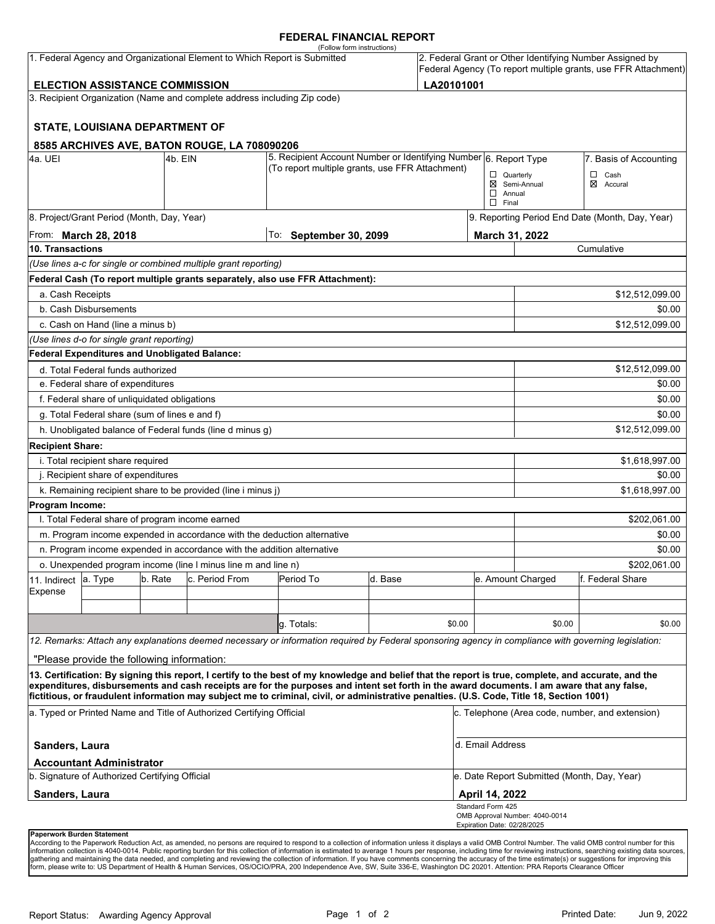### **FEDERAL FINANCIAL REPORT**

|                                                     |                                                 |         |                                                                           | (Follow form instructions)                                                                                                                                                                                                                                                                                                                                                                                                                      |         |        |                                                   |                                                 |                                                                                                                            |  |
|-----------------------------------------------------|-------------------------------------------------|---------|---------------------------------------------------------------------------|-------------------------------------------------------------------------------------------------------------------------------------------------------------------------------------------------------------------------------------------------------------------------------------------------------------------------------------------------------------------------------------------------------------------------------------------------|---------|--------|---------------------------------------------------|-------------------------------------------------|----------------------------------------------------------------------------------------------------------------------------|--|
|                                                     |                                                 |         | 1. Federal Agency and Organizational Element to Which Report is Submitted |                                                                                                                                                                                                                                                                                                                                                                                                                                                 |         |        |                                                   |                                                 | 2. Federal Grant or Other Identifying Number Assigned by<br>Federal Agency (To report multiple grants, use FFR Attachment) |  |
| LA20101001<br><b>ELECTION ASSISTANCE COMMISSION</b> |                                                 |         |                                                                           |                                                                                                                                                                                                                                                                                                                                                                                                                                                 |         |        |                                                   |                                                 |                                                                                                                            |  |
|                                                     |                                                 |         | 3. Recipient Organization (Name and complete address including Zip code)  |                                                                                                                                                                                                                                                                                                                                                                                                                                                 |         |        |                                                   |                                                 |                                                                                                                            |  |
|                                                     | <b>STATE, LOUISIANA DEPARTMENT OF</b>           |         |                                                                           |                                                                                                                                                                                                                                                                                                                                                                                                                                                 |         |        |                                                   |                                                 |                                                                                                                            |  |
|                                                     |                                                 |         | 8585 ARCHIVES AVE, BATON ROUGE, LA 708090206                              |                                                                                                                                                                                                                                                                                                                                                                                                                                                 |         |        |                                                   |                                                 |                                                                                                                            |  |
| 4a. UEI                                             |                                                 | 4b. EIN |                                                                           | 5. Recipient Account Number or Identifying Number 6. Report Type                                                                                                                                                                                                                                                                                                                                                                                |         |        |                                                   |                                                 | 7. Basis of Accounting                                                                                                     |  |
|                                                     |                                                 |         |                                                                           | (To report multiple grants, use FFR Attachment)                                                                                                                                                                                                                                                                                                                                                                                                 |         |        | $\Box$ Quarterly<br>$\Box$ Annual<br>$\Box$ Final | ⊠ Semi-Annual                                   | $\Box$ Cash<br>⊠ Accural                                                                                                   |  |
| 8. Project/Grant Period (Month, Day, Year)          |                                                 |         |                                                                           |                                                                                                                                                                                                                                                                                                                                                                                                                                                 |         |        |                                                   | 9. Reporting Period End Date (Month, Day, Year) |                                                                                                                            |  |
| From: <b>March 28, 2018</b>                         |                                                 |         |                                                                           | To: September 30, 2099                                                                                                                                                                                                                                                                                                                                                                                                                          |         |        |                                                   | March 31, 2022                                  |                                                                                                                            |  |
| 10. Transactions                                    |                                                 |         |                                                                           |                                                                                                                                                                                                                                                                                                                                                                                                                                                 |         |        |                                                   | Cumulative                                      |                                                                                                                            |  |
|                                                     |                                                 |         | (Use lines a-c for single or combined multiple grant reporting)           |                                                                                                                                                                                                                                                                                                                                                                                                                                                 |         |        |                                                   |                                                 |                                                                                                                            |  |
|                                                     |                                                 |         |                                                                           | Federal Cash (To report multiple grants separately, also use FFR Attachment):                                                                                                                                                                                                                                                                                                                                                                   |         |        |                                                   |                                                 |                                                                                                                            |  |
| a. Cash Receipts                                    |                                                 |         |                                                                           |                                                                                                                                                                                                                                                                                                                                                                                                                                                 |         |        |                                                   |                                                 | \$12,512,099.00                                                                                                            |  |
|                                                     | b. Cash Disbursements                           |         |                                                                           |                                                                                                                                                                                                                                                                                                                                                                                                                                                 |         |        |                                                   |                                                 | \$0.00                                                                                                                     |  |
|                                                     | c. Cash on Hand (line a minus b)                |         |                                                                           |                                                                                                                                                                                                                                                                                                                                                                                                                                                 |         |        |                                                   |                                                 | \$12,512,099.00                                                                                                            |  |
|                                                     | (Use lines d-o for single grant reporting)      |         |                                                                           |                                                                                                                                                                                                                                                                                                                                                                                                                                                 |         |        |                                                   |                                                 |                                                                                                                            |  |
|                                                     | Federal Expenditures and Unobligated Balance:   |         |                                                                           |                                                                                                                                                                                                                                                                                                                                                                                                                                                 |         |        |                                                   |                                                 |                                                                                                                            |  |
|                                                     | d. Total Federal funds authorized               |         |                                                                           |                                                                                                                                                                                                                                                                                                                                                                                                                                                 |         |        |                                                   |                                                 | \$12,512,099.00                                                                                                            |  |
|                                                     | e. Federal share of expenditures                |         |                                                                           |                                                                                                                                                                                                                                                                                                                                                                                                                                                 |         |        |                                                   |                                                 | \$0.00                                                                                                                     |  |
|                                                     | f. Federal share of unliquidated obligations    |         |                                                                           |                                                                                                                                                                                                                                                                                                                                                                                                                                                 |         |        |                                                   |                                                 | \$0.00                                                                                                                     |  |
|                                                     | g. Total Federal share (sum of lines e and f)   |         |                                                                           |                                                                                                                                                                                                                                                                                                                                                                                                                                                 |         |        |                                                   |                                                 | \$0.00                                                                                                                     |  |
|                                                     |                                                 |         | h. Unobligated balance of Federal funds (line d minus g)                  |                                                                                                                                                                                                                                                                                                                                                                                                                                                 |         |        |                                                   |                                                 | \$12,512,099.00                                                                                                            |  |
| <b>Recipient Share:</b>                             |                                                 |         |                                                                           |                                                                                                                                                                                                                                                                                                                                                                                                                                                 |         |        |                                                   |                                                 |                                                                                                                            |  |
|                                                     | i. Total recipient share required               |         |                                                                           |                                                                                                                                                                                                                                                                                                                                                                                                                                                 |         |        |                                                   |                                                 | \$1,618,997.00                                                                                                             |  |
|                                                     | j. Recipient share of expenditures              |         |                                                                           |                                                                                                                                                                                                                                                                                                                                                                                                                                                 |         |        |                                                   |                                                 | \$0.00                                                                                                                     |  |
|                                                     |                                                 |         | k. Remaining recipient share to be provided (line i minus j)              |                                                                                                                                                                                                                                                                                                                                                                                                                                                 |         |        |                                                   |                                                 | \$1,618,997.00                                                                                                             |  |
| Program Income:                                     |                                                 |         |                                                                           |                                                                                                                                                                                                                                                                                                                                                                                                                                                 |         |        |                                                   |                                                 |                                                                                                                            |  |
|                                                     | I. Total Federal share of program income earned |         |                                                                           |                                                                                                                                                                                                                                                                                                                                                                                                                                                 |         |        |                                                   |                                                 | \$202,061.00                                                                                                               |  |
|                                                     |                                                 |         |                                                                           | m. Program income expended in accordance with the deduction alternative                                                                                                                                                                                                                                                                                                                                                                         |         |        |                                                   |                                                 | \$0.00                                                                                                                     |  |
|                                                     |                                                 |         | n. Program income expended in accordance with the addition alternative    |                                                                                                                                                                                                                                                                                                                                                                                                                                                 |         |        |                                                   |                                                 | \$0.00                                                                                                                     |  |
|                                                     |                                                 |         | o. Unexpended program income (line I minus line m and line n)             |                                                                                                                                                                                                                                                                                                                                                                                                                                                 |         |        |                                                   |                                                 | \$202,061.00                                                                                                               |  |
| 11. Indirect                                        | a. Type                                         | b. Rate | c. Period From                                                            | Period To                                                                                                                                                                                                                                                                                                                                                                                                                                       | d. Base |        |                                                   | e. Amount Charged                               | f. Federal Share                                                                                                           |  |
| Expense                                             |                                                 |         |                                                                           |                                                                                                                                                                                                                                                                                                                                                                                                                                                 |         |        |                                                   |                                                 |                                                                                                                            |  |
|                                                     |                                                 |         |                                                                           |                                                                                                                                                                                                                                                                                                                                                                                                                                                 |         |        |                                                   |                                                 |                                                                                                                            |  |
|                                                     |                                                 |         |                                                                           | q. Totals:                                                                                                                                                                                                                                                                                                                                                                                                                                      |         | \$0.00 |                                                   | \$0.00                                          | \$0.00                                                                                                                     |  |
|                                                     |                                                 |         |                                                                           | 12. Remarks: Attach any explanations deemed necessary or information required by Federal sponsoring agency in compliance with governing legislation:                                                                                                                                                                                                                                                                                            |         |        |                                                   |                                                 |                                                                                                                            |  |
|                                                     | "Please provide the following information:      |         |                                                                           |                                                                                                                                                                                                                                                                                                                                                                                                                                                 |         |        |                                                   |                                                 |                                                                                                                            |  |
|                                                     |                                                 |         |                                                                           | 13. Certification: By signing this report, I certify to the best of my knowledge and belief that the report is true, complete, and accurate, and the<br>expenditures, disbursements and cash receipts are for the purposes and intent set forth in the award documents. I am aware that any false,<br>fictitious, or fraudulent information may subject me to criminal, civil, or administrative penalties. (U.S. Code, Title 18, Section 1001) |         |        |                                                   |                                                 |                                                                                                                            |  |
|                                                     |                                                 |         | a. Typed or Printed Name and Title of Authorized Certifying Official      |                                                                                                                                                                                                                                                                                                                                                                                                                                                 |         |        |                                                   |                                                 | c. Telephone (Area code, number, and extension)                                                                            |  |
| Sanders, Laura                                      |                                                 |         |                                                                           |                                                                                                                                                                                                                                                                                                                                                                                                                                                 |         |        | d. Email Address                                  |                                                 |                                                                                                                            |  |
|                                                     | <b>Accountant Administrator</b>                 |         |                                                                           |                                                                                                                                                                                                                                                                                                                                                                                                                                                 |         |        |                                                   |                                                 |                                                                                                                            |  |
| b. Signature of Authorized Certifying Official      |                                                 |         |                                                                           |                                                                                                                                                                                                                                                                                                                                                                                                                                                 |         |        | e. Date Report Submitted (Month, Day, Year)       |                                                 |                                                                                                                            |  |
| Sanders, Laura                                      |                                                 |         |                                                                           |                                                                                                                                                                                                                                                                                                                                                                                                                                                 |         |        | <b>April 14, 2022</b><br>Standard Form 425        | OMB Approval Number: 4040-0014                  |                                                                                                                            |  |
| <b>Paperwork Burden Statement</b>                   |                                                 |         |                                                                           |                                                                                                                                                                                                                                                                                                                                                                                                                                                 |         |        | Expiration Date: 02/28/2025                       |                                                 |                                                                                                                            |  |

According to the Paperwork Reduction Act, as amended, no persons are required to respond to a collection of information unless it displays a valid OMB Control Number. The valid OMB control number for this<br>information colle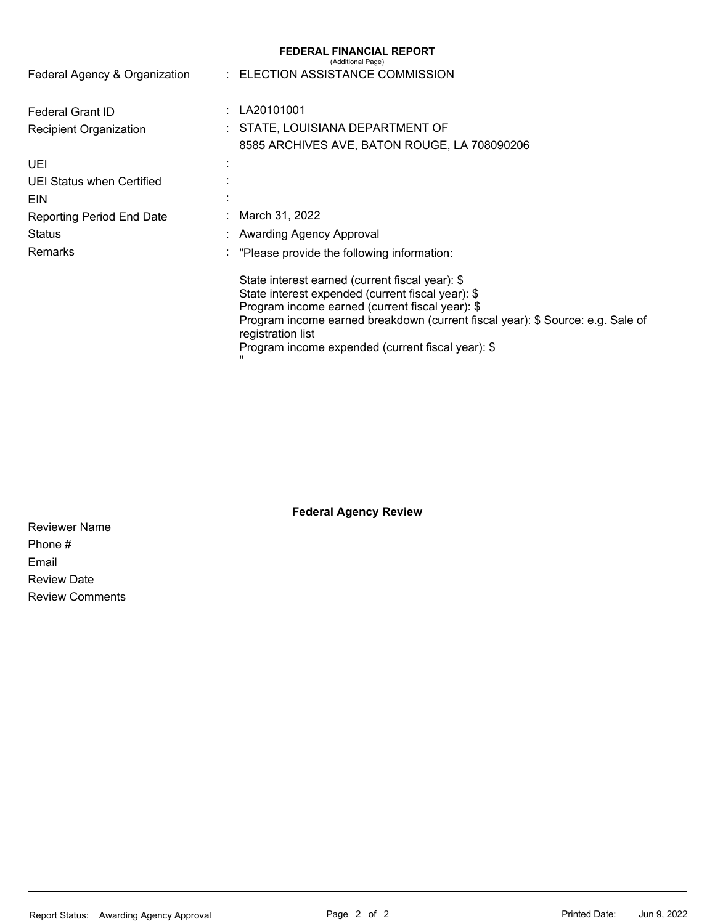| <b>FEDERAL FINANCIAL REPORT</b><br>(Additional Page) |                                                                                                                                                                                                                                                                                                                     |  |  |  |  |
|------------------------------------------------------|---------------------------------------------------------------------------------------------------------------------------------------------------------------------------------------------------------------------------------------------------------------------------------------------------------------------|--|--|--|--|
| Federal Agency & Organization                        | : ELECTION ASSISTANCE COMMISSION                                                                                                                                                                                                                                                                                    |  |  |  |  |
| ÷.<br><b>Federal Grant ID</b>                        | LA20101001                                                                                                                                                                                                                                                                                                          |  |  |  |  |
| <b>Recipient Organization</b>                        | : STATE, LOUISIANA DEPARTMENT OF                                                                                                                                                                                                                                                                                    |  |  |  |  |
|                                                      | 8585 ARCHIVES AVE, BATON ROUGE, LA 708090206                                                                                                                                                                                                                                                                        |  |  |  |  |
| <b>UEI</b>                                           |                                                                                                                                                                                                                                                                                                                     |  |  |  |  |
| UEI Status when Certified                            |                                                                                                                                                                                                                                                                                                                     |  |  |  |  |
| EIN                                                  |                                                                                                                                                                                                                                                                                                                     |  |  |  |  |
| <b>Reporting Period End Date</b>                     | March 31, 2022                                                                                                                                                                                                                                                                                                      |  |  |  |  |
| Status                                               | <b>Awarding Agency Approval</b>                                                                                                                                                                                                                                                                                     |  |  |  |  |
| Remarks                                              | "Please provide the following information:                                                                                                                                                                                                                                                                          |  |  |  |  |
|                                                      | State interest earned (current fiscal year): \$<br>State interest expended (current fiscal year): \$<br>Program income earned (current fiscal year): \$<br>Program income earned breakdown (current fiscal year): \$ Source: e.g. Sale of<br>registration list<br>Program income expended (current fiscal year): \$ |  |  |  |  |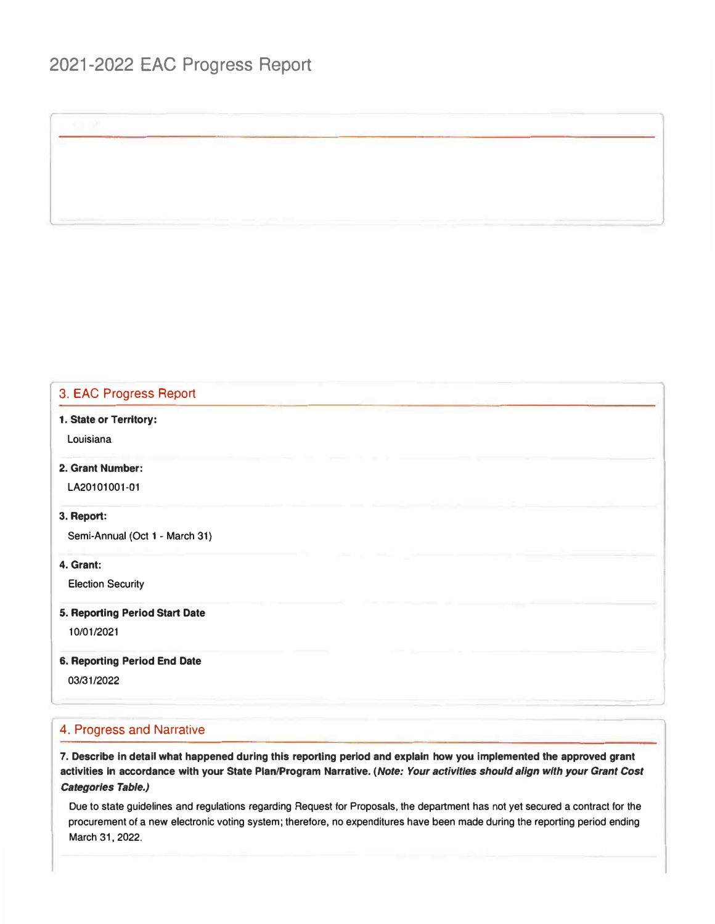# 2021-2022 EAC Progress Report

### 3. EAC Progress Report

**1. State or Territory:**

**Louisiana**

**2. Grant Number:**

**LA20101001-01**

#### **3. Report:**

**Semi-Annual (Oct 1 - March 31)**

**4. Grant:**

**Election Security**

**5. Reporting Period Start Date**

**10/01/2021**

**6. Reporting Period End Date Reporting Period End Date**<br>03/31/2022<br>January 2022

#### 4. Progress and Narrative

**7. Describe in detail what happened during this reporting period and explain how you implemented the approved grant activities In accordance with your State Plan/Program Narrative.** *(Note: Your activities should align with your Grant Cost Categories Table.)*

**Due to state guidelines and regulations regarding Request for Proposals, the department has not yet secured a contract for the procurement of a new electronic voting system; therefore, no expenditures have been made during the reporting period ending March 31, 2022.**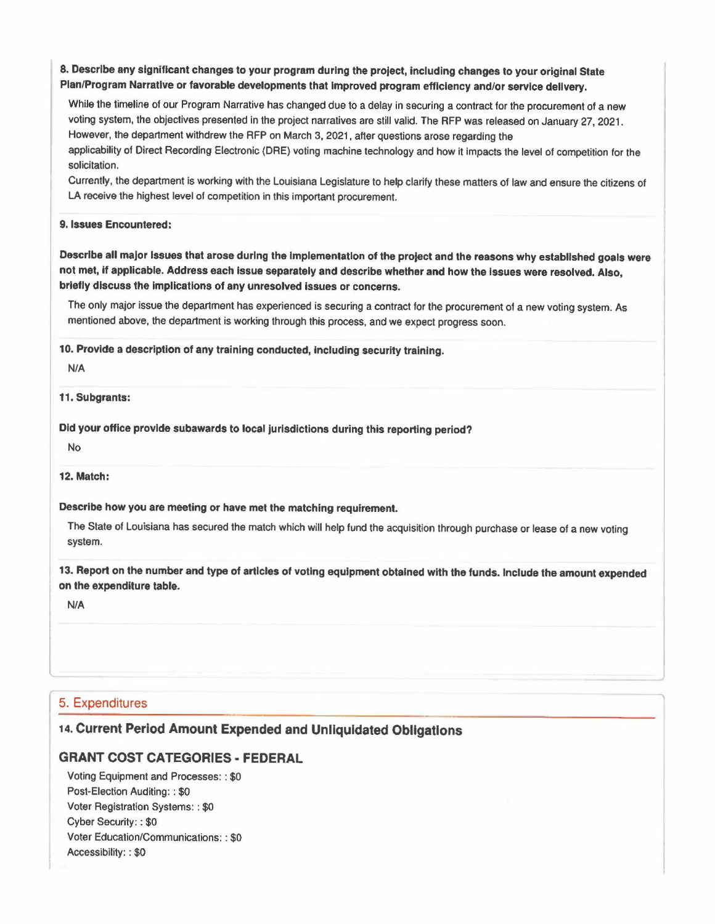### **8. Describe any significant changes to your program during the project, Including changes to your original State Plan/Program Narrative or favorable developments that Improved program efficiency and/or service delivery.**

While the timeline of our Program Narrative has changed due to a delay in securing a contract for the procurement of a new voting system, the objectives presented in the project narratives are still valid. The RFP was released on January 27, 2021. However, the department withdrew the RFP on March 3. 2021 , after questions arose regarding the applicability of Direct Recording Electronic (ORE) voting machine technology and how it impacts the level of competition for the solicitation.

Currently, the department is working with the Louisiana Legislature *to* help clarify these matters of law and ensure the citizens of LA receive the highest level of competition in this important procurement.

#### **9. Issues Encountered:**

**Describe all major Issues that arose during the Implementation of the project and the reasons why established goals were not met,** If **applicable. Address each Issue separately and describe whether and how the issues were resolved. Also, briefly discuss the implications of any unresolved Issues or concerns.** 

The only major issue the department has experienced is securing a contract for the procurement of a new voting system. As mentioned above, the department is working through this process, and we expect progress soon.

**10. Provide a description of any training conducted, Including security training.** 

**NIA** 

**11. Subgrants:** 

Did your office provide subawards to local jurisdictions during this reporting period?

No

**12. Match:** 

**Describe how you are meeting or have met the matching requirement.** 

The State of Louisiana has secured the match which will help fund the acquisition through purchase or lease of a new voting system.

**13. Report on the number and type of articles of voting equipment obtained with the funds. Include the amount expended on the expenditure table.** 

**NIA** 

## 5. Expenditures

# 14. **Current Period Amount Expended and Unllquldated Obligations**

## **GRANT COST CATEGORIES• FEDERAL**

Voting Equipment and Processes: : \$0 Post-Election Auditing: : \$0 Voter Registration Systems: : \$0 Cyber Security: : \$0 Voter Education/Communications: : \$0 Accessibility: : \$0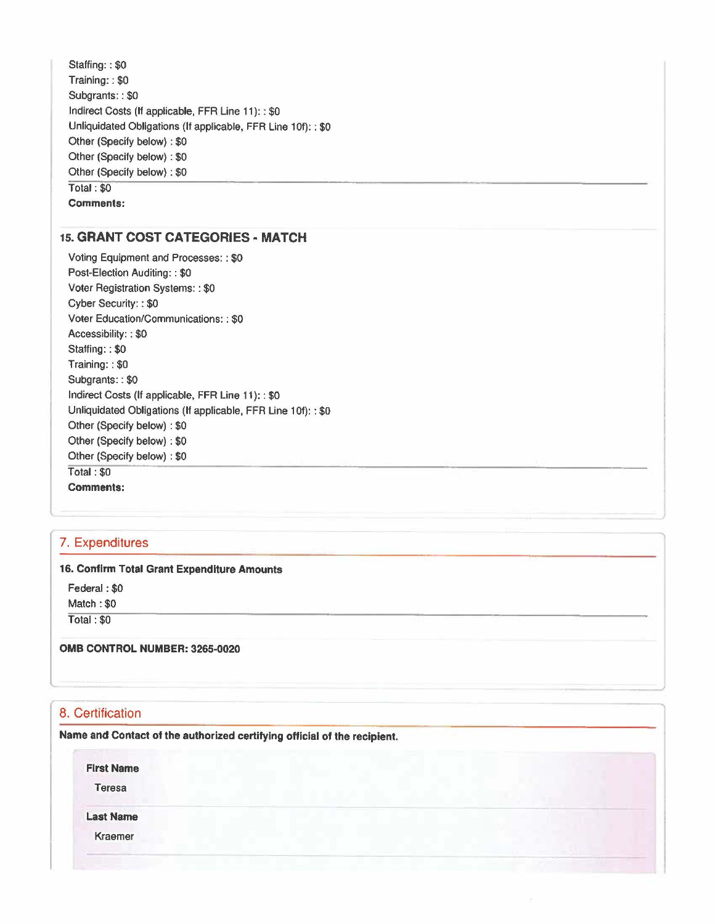Staffing:: \$0 Training: : \$0 Subgrants:: \$0 Indirect Costs (If applicable, FFR Line 11): : \$0 Unliquidated Obligations (If applicable, FFR Line 10f):: \$0 Other (Specify below) : \$0 Other (Specify below) : \$0 Other (Specify below): \$0 Total: \$0 **Comments:** 

## **15. GRANT COST CATEGORIES - MATCH**

Voting Equipment and Processes: : \$0 Post-Election Auditing: : \$0 Voter Registration Systems: : \$0 Cyber Security: : \$0 Voter Education/Communications: : \$0 Accessibility: : \$0 Staffing:: \$0 Training: : \$0 Subgrants: : \$0 Indirect Costs (If applicable, FFR Line 11): : \$0 Unliquidated Obligations (If applicable, FFR Line 10f): : \$0 Other (Specify below) : \$0 Other (Specify below) : \$0 Other (Specify below) : \$0 Total: \$0 **Comments:** 

### 7. Expenditures

#### **16. Confirm Total Grant Expenditure Amounts**

Federal: \$0 Match: \$0

Total : \$0

#### **0MB CONTROL NUMBER: 3265-0020**

# 8. Certification

**Name and Contact of the authorized certifying official of the recipient.** 

*I* 

**First Name** 

Teresa

**Last Name** 

Kraemer